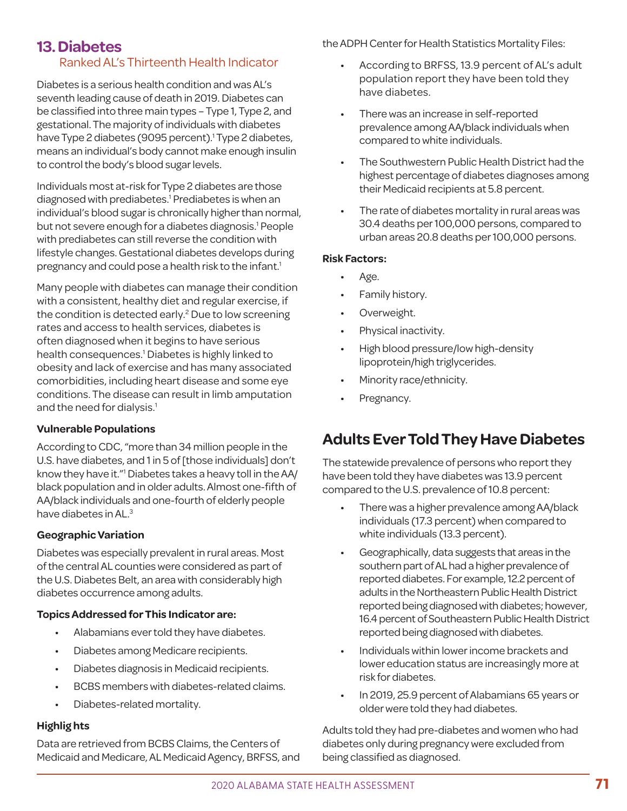### **13. Diabetes** Ranked AL's Thirteenth Health Indicator

Diabetes is a serious health condition and was AL's seventh leading cause of death in 2019. Diabetes can be classified into three main types – Type 1, Type 2, and gestational. The majority of individuals with diabetes have Type 2 diabetes (9095 percent).<sup>1</sup> Type 2 diabetes, means an individual's body cannot make enough insulin to control the body's blood sugar levels.

Individuals most at-risk for Type 2 diabetes are those diagnosed with prediabetes.<sup>1</sup> Prediabetes is when an individual's blood sugar is chronically higher than normal, but not severe enough for a diabetes diagnosis.<sup>1</sup> People with prediabetes can still reverse the condition with lifestyle changes. Gestational diabetes develops during pregnancy and could pose a health risk to the infant.<sup>1</sup>

Many people with diabetes can manage their condition with a consistent, healthy diet and regular exercise, if the condition is detected early.<sup>2</sup> Due to low screening rates and access to health services, diabetes is often diagnosed when it begins to have serious health consequences.<sup>1</sup> Diabetes is highly linked to obesity and lack of exercise and has many associated comorbidities, including heart disease and some eye conditions. The disease can result in limb amputation and the need for dialysis.<sup>1</sup>

### **Vulnerable Populations**

According to CDC, "more than 34 million people in the U.S. have diabetes, and 1 in 5 of [those individuals] don't know they have it."1 Diabetes takes a heavy toll in the AA/ black population and in older adults. Almost one-fifth of AA/black individuals and one-fourth of elderly people have diabetes in AL.3

### **Geographic Variation**

Diabetes was especially prevalent in rural areas. Most of the central AL counties were considered as part of the U.S. Diabetes Belt, an area with considerably high diabetes occurrence among adults.

### **Topics Addressed for This Indicator are:**

- Alabamians ever told they have diabetes.
- · Diabetes among Medicare recipients.
- · Diabetes diagnosis in Medicaid recipients.
- BCBS members with diabetes-related claims.
- Diabetes-related mortality.

### **Highlig hts**

Data are retrieved from BCBS Claims, the Centers of Medicaid and Medicare, AL Medicaid Agency, BRFSS, and the ADPH Center for Health Statistics Mortality Files:

- According to BRFSS, 13.9 percent of AL's adult population report they have been told they have diabetes.
- There was an increase in self-reported prevalence among AA/black individuals when compared to white individuals.
- The Southwestern Public Health District had the highest percentage of diabetes diagnoses among their Medicaid recipients at 5.8 percent.
- The rate of diabetes mortality in rural areas was 30.4 deaths per 100,000 persons, compared to urban areas 20.8 deaths per 100,000 persons.

### **Risk Factors:**

- · Age.
- Family history.
- Overweight.
- Physical inactivity.
- High blood pressure/low high-density lipoprotein/high triglycerides.
- Minority race/ethnicity.
- Pregnancy.

## **Adults Ever Told They Have Diabetes**

The statewide prevalence of persons who report they have been told they have diabetes was 13.9 percent compared to the U.S. prevalence of 10.8 percent:

- There was a higher prevalence among AA/black individuals (17.3 percent) when compared to white individuals (13.3 percent).
- Geographically, data suggests that areas in the southern part of AL had a higher prevalence of reported diabetes. For example, 12.2 percent of adults in the Northeastern Public Health District reported being diagnosed with diabetes; however, 16.4 percent of Southeastern Public Health District reported being diagnosed with diabetes.
- · Individuals within lower income brackets and lower education status are increasingly more at risk for diabetes.
- In 2019, 25.9 percent of Alabamians 65 years or older were told they had diabetes.

Adults told they had pre-diabetes and women who had diabetes only during pregnancy were excluded from being classified as diagnosed.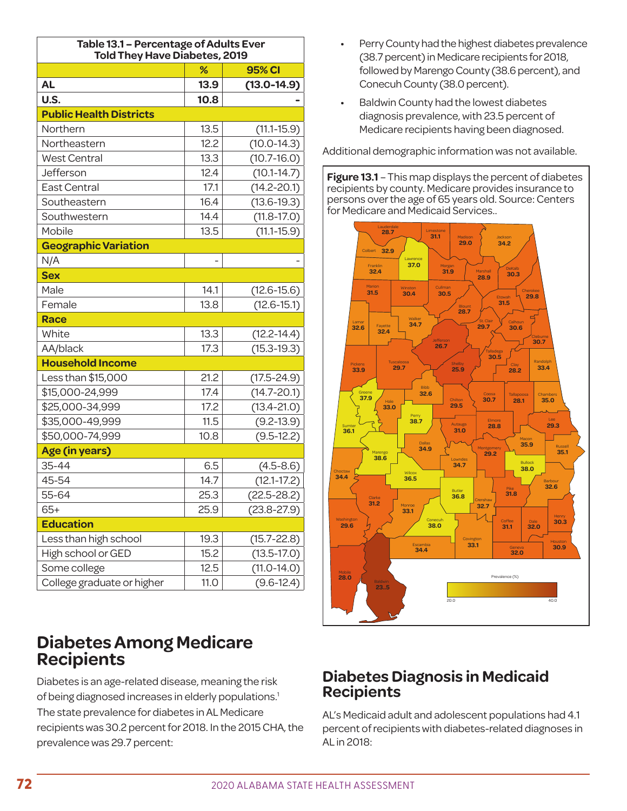| Table 13.1 - Percentage of Adults Ever<br><b>Told They Have Diabetes, 2019</b> |                          |                 |  |
|--------------------------------------------------------------------------------|--------------------------|-----------------|--|
|                                                                                | %                        | <b>95% CI</b>   |  |
| <b>AL</b>                                                                      | 13.9                     | $(13.0 - 14.9)$ |  |
| U.S.                                                                           | 10.8                     |                 |  |
| <b>Public Health Districts</b>                                                 |                          |                 |  |
| Northern                                                                       | 13.5                     | $(11.1 - 15.9)$ |  |
| Northeastern                                                                   | 12.2                     | $(10.0 - 14.3)$ |  |
| <b>West Central</b>                                                            | 13.3                     | $(10.7 - 16.0)$ |  |
| Jefferson                                                                      | 12.4                     | $(10.1 - 14.7)$ |  |
| East Central                                                                   | 17.1                     | $(14.2 - 20.1)$ |  |
| Southeastern                                                                   | 16.4                     | $(13.6 - 19.3)$ |  |
| Southwestern                                                                   | 14.4                     | $(11.8 - 17.0)$ |  |
| Mobile                                                                         | 13.5                     | $(11.1 - 15.9)$ |  |
| <b>Geographic Variation</b>                                                    |                          |                 |  |
| N/A                                                                            | $\overline{\phantom{0}}$ |                 |  |
| <b>Sex</b>                                                                     |                          |                 |  |
| Male                                                                           | 14.1                     | $(12.6 - 15.6)$ |  |
| Female                                                                         | 13.8                     | $(12.6 - 15.1)$ |  |
| <b>Race</b>                                                                    |                          |                 |  |
| White                                                                          | 13.3                     | $(12.2 - 14.4)$ |  |
| AA/black                                                                       | 17.3                     | $(15.3 - 19.3)$ |  |
| <b>Household Income</b>                                                        |                          |                 |  |
| Less than \$15,000                                                             | 21.2                     | $(17.5 - 24.9)$ |  |
| \$15,000-24,999                                                                | 17.4                     | $(14.7 - 20.1)$ |  |
| \$25,000-34,999                                                                | 17.2                     | $(13.4 - 21.0)$ |  |
| \$35,000-49,999                                                                | 11.5                     | $(9.2 - 13.9)$  |  |
| \$50,000-74,999                                                                | 10.8                     | $(9.5-12.2)$    |  |
| Age (in years)                                                                 |                          |                 |  |
| 35-44                                                                          | 6.5                      | $(4.5 - 8.6)$   |  |
| 45-54                                                                          | 14.7                     | $(12.1 - 17.2)$ |  |
| 55-64                                                                          | 25.3                     | $(22.5 - 28.2)$ |  |
| $65+$                                                                          | 25.9                     | $(23.8 - 27.9)$ |  |
| <b>Education</b>                                                               |                          |                 |  |
| Less than high school                                                          | 19.3                     | $(15.7 - 22.8)$ |  |
| High school or GED                                                             | 15.2                     | $(13.5 - 17.0)$ |  |
| Some college                                                                   | 12.5                     | $(11.0-14.0)$   |  |
| College graduate or higher                                                     | 11.0                     | $(9.6 - 12.4)$  |  |

# **Diabetes Among Medicare Recipients**

Diabetes is an age-related disease, meaning the risk of being diagnosed increases in elderly populations.<sup>1</sup> The state prevalence for diabetes in AL Medicare recipients was 30.2 percent for 2018. In the 2015 CHA, the prevalence was 29.7 percent:

- Perry County had the highest diabetes prevalence (38.7 percent) in Medicare recipients for 2018, followed by Marengo County (38.6 percent), and Conecuh County (38.0 percent).
- · Baldwin County had the lowest diabetes diagnosis prevalence, with 23.5 percent of Medicare recipients having been diagnosed.

Additional demographic information was not available.

**Figure 13.1** – This map displays the percent of diabetes recipients by county. Medicare provides insurance to persons over the age of 65 years old. Source: Centers for Medicare and Medicaid Services..



## **Diabetes Diagnosis in Medicaid Recipients**

AL's Medicaid adult and adolescent populations had 4.1 percent of recipients with diabetes-related diagnoses in AL in 2018: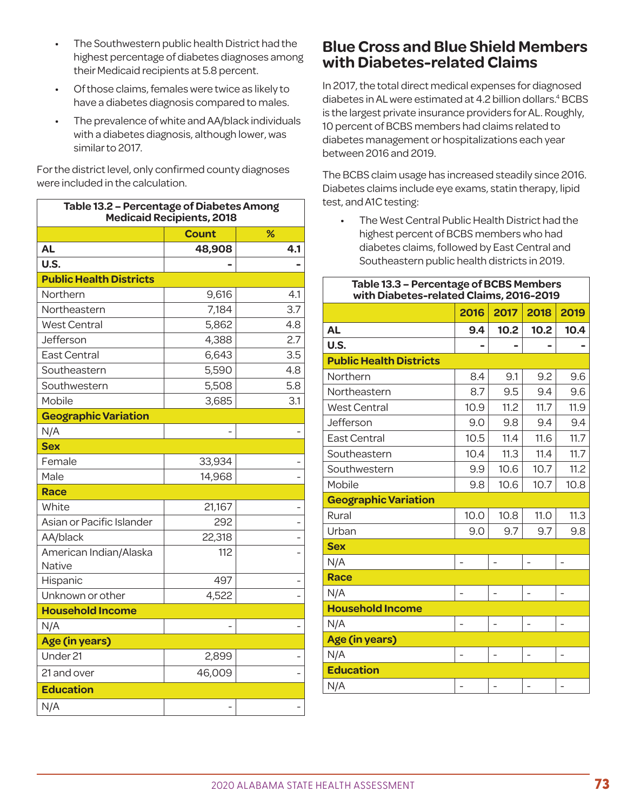- The Southwestern public health District had the highest percentage of diabetes diagnoses among their Medicaid recipients at 5.8 percent.
- · Of those claims, females were twice as likely to have a diabetes diagnosis compared to males.
- · The prevalence of white and AA/black individuals with a diabetes diagnosis, although lower, was similar to 2017.

For the district level, only confirmed county diagnoses were included in the calculation.

| Table 13.2 - Percentage of Diabetes Among<br><b>Medicaid Recipients, 2018</b> |              |     |  |
|-------------------------------------------------------------------------------|--------------|-----|--|
|                                                                               | <b>Count</b> | %   |  |
| <b>AL</b>                                                                     | 48,908       | 4.1 |  |
| U.S.                                                                          |              |     |  |
| <b>Public Health Districts</b>                                                |              |     |  |
| Northern                                                                      | 9,616        | 4.1 |  |
| Northeastern                                                                  | 7,184        | 3.7 |  |
| <b>West Central</b>                                                           | 5,862        | 4.8 |  |
| Jefferson                                                                     | 4,388        | 2.7 |  |
| <b>East Central</b>                                                           | 6,643        | 3.5 |  |
| Southeastern                                                                  | 5,590        | 4.8 |  |
| Southwestern                                                                  | 5,508        | 5.8 |  |
| Mobile                                                                        | 3,685        | 3.1 |  |
| <b>Geographic Variation</b>                                                   |              |     |  |
| N/A                                                                           |              |     |  |
| <b>Sex</b>                                                                    |              |     |  |
| Female                                                                        | 33,934       |     |  |
| Male                                                                          | 14,968       |     |  |
| <b>Race</b>                                                                   |              |     |  |
| White                                                                         | 21,167       |     |  |
| Asian or Pacific Islander                                                     | 292          |     |  |
| AA/black                                                                      | 22,318       |     |  |
| American Indian/Alaska<br>Native                                              | 112          |     |  |
| Hispanic                                                                      | 497          |     |  |
| Unknown or other                                                              | 4,522        |     |  |
| <b>Household Income</b>                                                       |              |     |  |
| N/A                                                                           |              |     |  |
| Age (in years)                                                                |              |     |  |
| Under 21                                                                      | 2,899        |     |  |
| 21 and over                                                                   | 46,009       |     |  |
| <b>Education</b>                                                              |              |     |  |
| N/A                                                                           |              |     |  |

### **Blue Cross and Blue Shield Members with Diabetes-related Claims**

In 2017, the total direct medical expenses for diagnosed diabetes in AL were estimated at 4.2 billion dollars.<sup>4</sup> BCBS is the largest private insurance providers for AL. Roughly, 10 percent of BCBS members had claims related to diabetes management or hospitalizations each year between 2016 and 2019.

The BCBS claim usage has increased steadily since 2016. Diabetes claims include eye exams, statin therapy, lipid test, and A1C testing:

The West Central Public Health District had the highest percent of BCBS members who had diabetes claims, followed by East Central and Southeastern public health districts in 2019.

| Table 13.3 - Percentage of BCBS Members<br>with Diabetes-related Claims, 2016-2019 |      |                |                |      |
|------------------------------------------------------------------------------------|------|----------------|----------------|------|
|                                                                                    | 2016 | 2017           | 2018           | 2019 |
| <b>AL</b>                                                                          | 9.4  | 10.2           | 10.2           | 10.4 |
| U.S.                                                                               |      |                |                |      |
| <b>Public Health Districts</b>                                                     |      |                |                |      |
| Northern                                                                           | 8.4  | 9.1            | 9.2            | 9.6  |
| Northeastern                                                                       | 8.7  | 9.5            | 9.4            | 9.6  |
| <b>West Central</b>                                                                | 10.9 | 11.2           | 11.7           | 11.9 |
| Jefferson                                                                          | 9.0  | 9.8            | 9.4            | 9.4  |
| East Central                                                                       | 10.5 | 11.4           | 11.6           | 11.7 |
| Southeastern                                                                       | 10.4 | 11.3           | 11.4           | 11.7 |
| Southwestern                                                                       | 9.9  | 10.6           | 10.7           | 11.2 |
| Mobile                                                                             | 9.8  | 10.6           | 10.7           | 10.8 |
| <b>Geographic Variation</b>                                                        |      |                |                |      |
| Rural                                                                              | 10.0 | 10.8           | 11.0           | 11.3 |
| Urban                                                                              | 9.0  | 9.7            | 9.7            | 9.8  |
| <b>Sex</b>                                                                         |      |                |                |      |
| N/A                                                                                |      |                |                |      |
| <b>Race</b>                                                                        |      |                |                |      |
| N/A                                                                                |      | $\overline{a}$ | $\overline{a}$ |      |
| <b>Household Income</b>                                                            |      |                |                |      |
| N/A                                                                                |      |                |                |      |
| Age (in years)                                                                     |      |                |                |      |
| N/A                                                                                |      |                |                |      |
| <b>Education</b>                                                                   |      |                |                |      |
| N/A                                                                                |      |                |                |      |